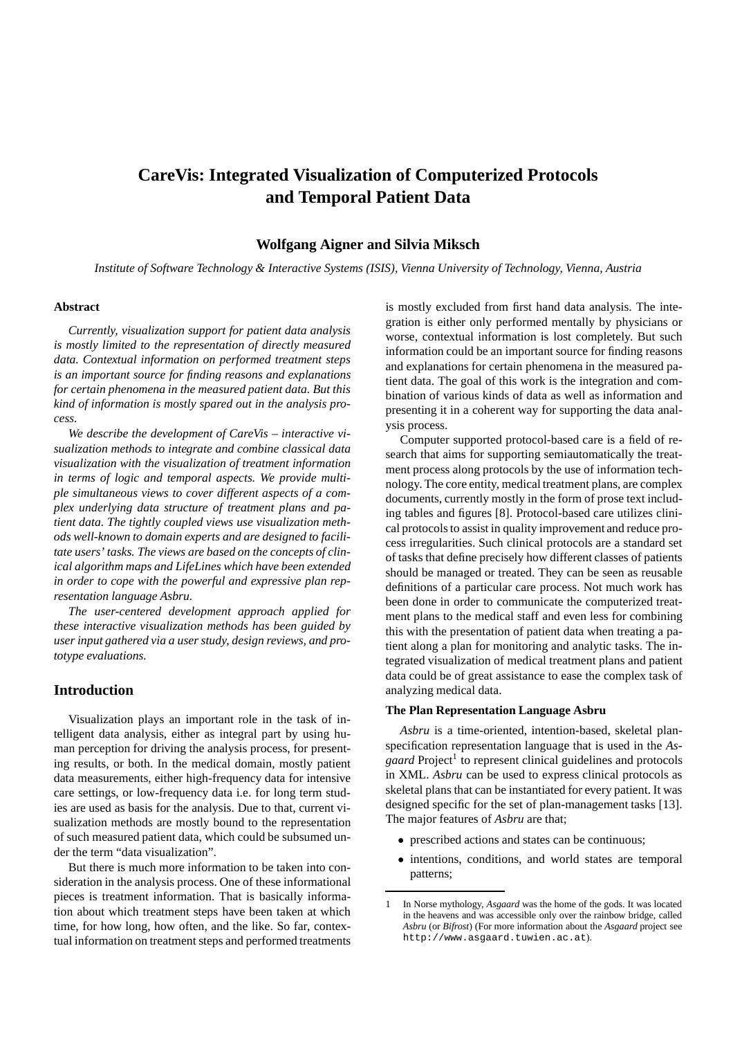# **CareVis: Integrated Visualization of Computerized Protocols and Temporal Patient Data**

# **Wolfgang Aigner and Silvia Miksch**

*Institute of Software Technology & Interactive Systems (ISIS), Vienna University of Technology, Vienna, Austria*

#### **Abstract**

*Currently, visualization support for patient data analysis is mostly limited to the representation of directly measured data. Contextual information on performed treatment steps is an important source for finding reasons and explanations for certain phenomena in the measured patient data. But this kind of information is mostly spared out in the analysis process.*

*We describe the development of CareVis – interactive visualization methods to integrate and combine classical data visualization with the visualization of treatment information in terms of logic and temporal aspects. We provide multiple simultaneous views to cover different aspects of a complex underlying data structure of treatment plans and patient data. The tightly coupled views use visualization methods well-known to domain experts and are designed to facilitate users' tasks. The views are based on the concepts of clinical algorithm maps and LifeLines which have been extended in order to cope with the powerful and expressive plan representation language Asbru.*

*The user-centered development approach applied for these interactive visualization methods has been guided by user input gathered via a user study, design reviews, and prototype evaluations.*

# **Introduction**

Visualization plays an important role in the task of intelligent data analysis, either as integral part by using human perception for driving the analysis process, for presenting results, or both. In the medical domain, mostly patient data measurements, either high-frequency data for intensive care settings, or low-frequency data i.e. for long term studies are used as basis for the analysis. Due to that, current visualization methods are mostly bound to the representation of such measured patient data, which could be subsumed under the term "data visualization".

But there is much more information to be taken into consideration in the analysis process. One of these informational pieces is treatment information. That is basically information about which treatment steps have been taken at which time, for how long, how often, and the like. So far, contextual information on treatment steps and performed treatments

is mostly excluded from first hand data analysis. The integration is either only performed mentally by physicians or worse, contextual information is lost completely. But such information could be an important source for finding reasons and explanations for certain phenomena in the measured patient data. The goal of this work is the integration and combination of various kinds of data as well as information and presenting it in a coherent way for supporting the data analysis process.

Computer supported protocol-based care is a field of research that aims for supporting semiautomatically the treatment process along protocols by the use of information technology. The core entity, medical treatment plans, are complex documents, currently mostly in the form of prose text including tables and figures [8]. Protocol-based care utilizes clinical protocols to assist in quality improvement and reduce process irregularities. Such clinical protocols are a standard set of tasks that define precisely how different classes of patients should be managed or treated. They can be seen as reusable definitions of a particular care process. Not much work has been done in order to communicate the computerized treatment plans to the medical staff and even less for combining this with the presentation of patient data when treating a patient along a plan for monitoring and analytic tasks. The integrated visualization of medical treatment plans and patient data could be of great assistance to ease the complex task of analyzing medical data.

#### **The Plan Representation Language Asbru**

*Asbru* is a time-oriented, intention-based, skeletal planspecification representation language that is used in the *As*gaard Project<sup>1</sup> to represent clinical guidelines and protocols in XML. *Asbru* can be used to express clinical protocols as skeletal plans that can be instantiated for every patient. It was designed specific for the set of plan-management tasks [13]. The major features of *Asbru* are that;

- prescribed actions and states can be continuous;
- intentions, conditions, and world states are temporal patterns;

<sup>1</sup> In Norse mythology, *Asgaard* was the home of the gods. It was located in the heavens and was accessible only over the rainbow bridge, called *Asbru* (or *Bifrost*) (For more information about the *Asgaard* project see http://www.asgaard.tuwien.ac.at).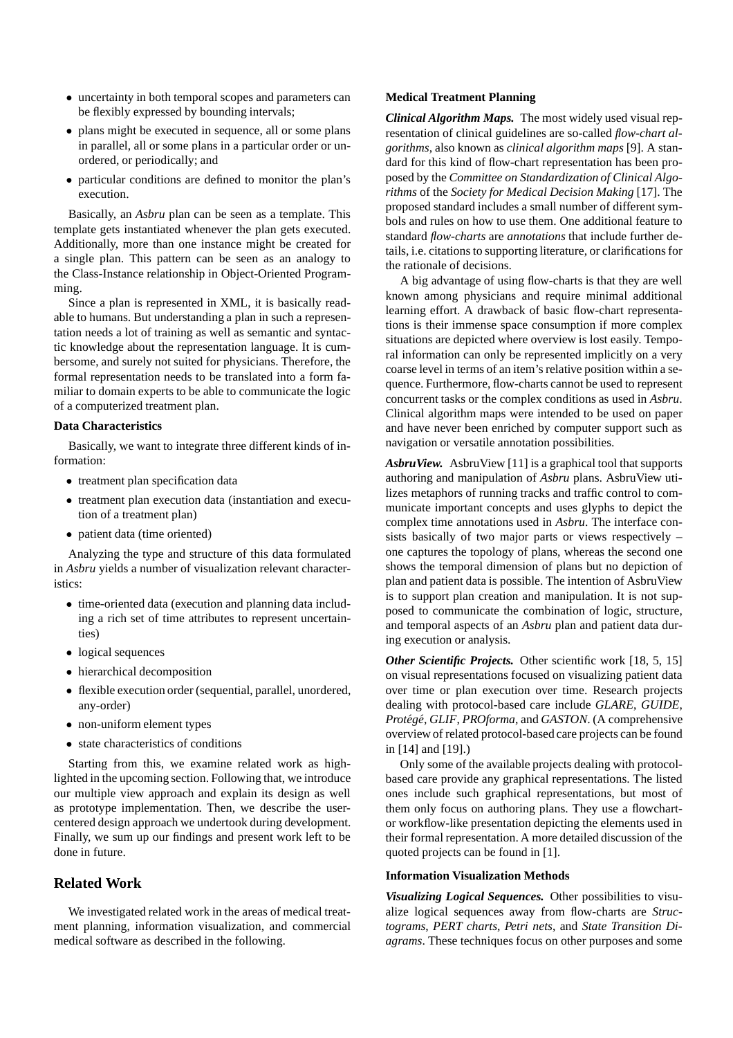- uncertainty in both temporal scopes and parameters can be flexibly expressed by bounding intervals;
- plans might be executed in sequence, all or some plans in parallel, all or some plans in a particular order or unordered, or periodically; and
- particular conditions are defined to monitor the plan's execution.

Basically, an *Asbru* plan can be seen as a template. This template gets instantiated whenever the plan gets executed. Additionally, more than one instance might be created for a single plan. This pattern can be seen as an analogy to the Class-Instance relationship in Object-Oriented Programming.

Since a plan is represented in XML, it is basically readable to humans. But understanding a plan in such a representation needs a lot of training as well as semantic and syntactic knowledge about the representation language. It is cumbersome, and surely not suited for physicians. Therefore, the formal representation needs to be translated into a form familiar to domain experts to be able to communicate the logic of a computerized treatment plan.

# **Data Characteristics**

Basically, we want to integrate three different kinds of information:

- treatment plan specification data
- treatment plan execution data (instantiation and execution of a treatment plan)
- patient data (time oriented)

Analyzing the type and structure of this data formulated in *Asbru* yields a number of visualization relevant characteristics:

- time-oriented data (execution and planning data including a rich set of time attributes to represent uncertainties)
- logical sequences
- hierarchical decomposition
- flexible execution order (sequential, parallel, unordered, any-order)
- non-uniform element types
- state characteristics of conditions

Starting from this, we examine related work as highlighted in the upcoming section. Following that, we introduce our multiple view approach and explain its design as well as prototype implementation. Then, we describe the usercentered design approach we undertook during development. Finally, we sum up our findings and present work left to be done in future.

# **Related Work**

We investigated related work in the areas of medical treatment planning, information visualization, and commercial medical software as described in the following.

#### **Medical Treatment Planning**

*Clinical Algorithm Maps.* The most widely used visual representation of clinical guidelines are so-called *flow-chart algorithms*, also known as *clinical algorithm maps* [9]. A standard for this kind of flow-chart representation has been proposed by the *Committee on Standardization of Clinical Algorithms* of the *Society for Medical Decision Making* [17]. The proposed standard includes a small number of different symbols and rules on how to use them. One additional feature to standard *flow-charts* are *annotations* that include further details, i.e. citations to supporting literature, or clarifications for the rationale of decisions.

A big advantage of using flow-charts is that they are well known among physicians and require minimal additional learning effort. A drawback of basic flow-chart representations is their immense space consumption if more complex situations are depicted where overview is lost easily. Temporal information can only be represented implicitly on a very coarse level in terms of an item's relative position within a sequence. Furthermore, flow-charts cannot be used to represent concurrent tasks or the complex conditions as used in *Asbru*. Clinical algorithm maps were intended to be used on paper and have never been enriched by computer support such as navigation or versatile annotation possibilities.

*AsbruView.* AsbruView [11] is a graphical tool that supports authoring and manipulation of *Asbru* plans. AsbruView utilizes metaphors of running tracks and traffic control to communicate important concepts and uses glyphs to depict the complex time annotations used in *Asbru*. The interface consists basically of two major parts or views respectively – one captures the topology of plans, whereas the second one shows the temporal dimension of plans but no depiction of plan and patient data is possible. The intention of AsbruView is to support plan creation and manipulation. It is not supposed to communicate the combination of logic, structure, and temporal aspects of an *Asbru* plan and patient data during execution or analysis.

*Other Scientific Projects.* Other scientific work [18, 5, 15] on visual representations focused on visualizing patient data over time or plan execution over time. Research projects dealing with protocol-based care include *GLARE*, *GUIDE*, *Proteg´ e´*, *GLIF*, *PROforma*, and *GASTON*. (A comprehensive overview of related protocol-based care projects can be found in [14] and [19].)

Only some of the available projects dealing with protocolbased care provide any graphical representations. The listed ones include such graphical representations, but most of them only focus on authoring plans. They use a flowchartor workflow-like presentation depicting the elements used in their formal representation. A more detailed discussion of the quoted projects can be found in [1].

#### **Information Visualization Methods**

*Visualizing Logical Sequences.* Other possibilities to visualize logical sequences away from flow-charts are *Structograms*, *PERT charts*, *Petri nets*, and *State Transition Diagrams*. These techniques focus on other purposes and some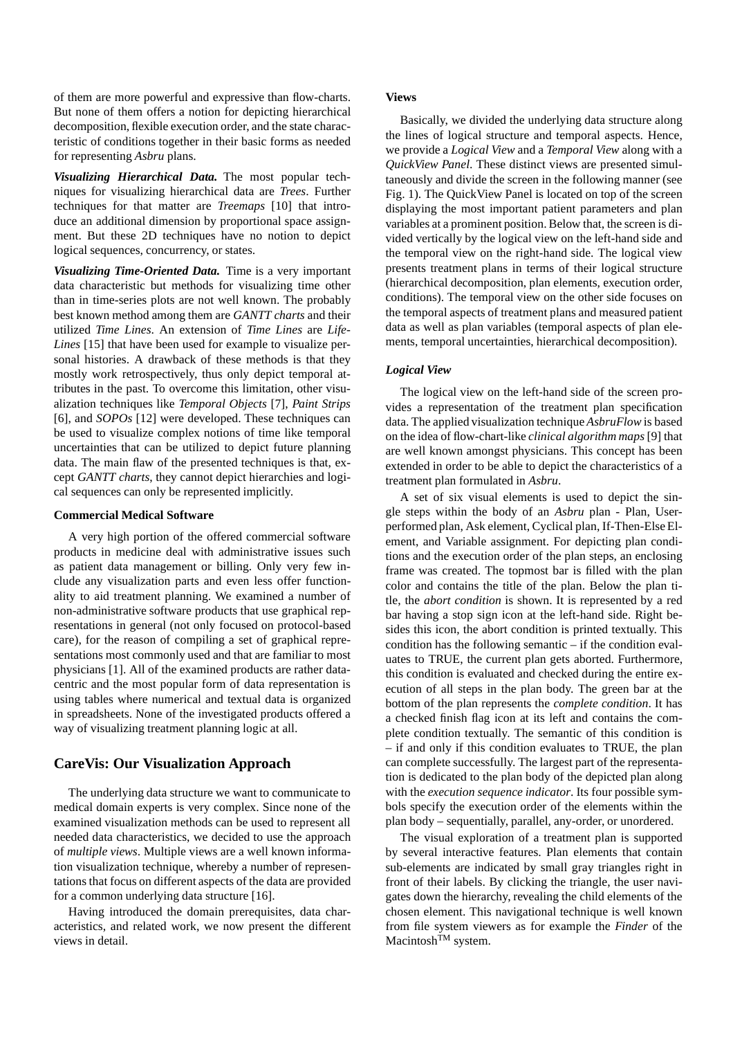of them are more powerful and expressive than flow-charts. But none of them offers a notion for depicting hierarchical decomposition, flexible execution order, and the state characteristic of conditions together in their basic forms as needed for representing *Asbru* plans.

*Visualizing Hierarchical Data.* The most popular techniques for visualizing hierarchical data are *Trees*. Further techniques for that matter are *Treemaps* [10] that introduce an additional dimension by proportional space assignment. But these 2D techniques have no notion to depict logical sequences, concurrency, or states.

*Visualizing Time-Oriented Data.* Time is a very important data characteristic but methods for visualizing time other than in time-series plots are not well known. The probably best known method among them are *GANTT charts* and their utilized *Time Lines*. An extension of *Time Lines* are *Life-Lines* [15] that have been used for example to visualize personal histories. A drawback of these methods is that they mostly work retrospectively, thus only depict temporal attributes in the past. To overcome this limitation, other visualization techniques like *Temporal Objects* [7], *Paint Strips* [6], and *SOPOs* [12] were developed. These techniques can be used to visualize complex notions of time like temporal uncertainties that can be utilized to depict future planning data. The main flaw of the presented techniques is that, except *GANTT charts*, they cannot depict hierarchies and logical sequences can only be represented implicitly.

#### **Commercial Medical Software**

A very high portion of the offered commercial software products in medicine deal with administrative issues such as patient data management or billing. Only very few include any visualization parts and even less offer functionality to aid treatment planning. We examined a number of non-administrative software products that use graphical representations in general (not only focused on protocol-based care), for the reason of compiling a set of graphical representations most commonly used and that are familiar to most physicians [1]. All of the examined products are rather datacentric and the most popular form of data representation is using tables where numerical and textual data is organized in spreadsheets. None of the investigated products offered a way of visualizing treatment planning logic at all.

## **CareVis: Our Visualization Approach**

The underlying data structure we want to communicate to medical domain experts is very complex. Since none of the examined visualization methods can be used to represent all needed data characteristics, we decided to use the approach of *multiple views*. Multiple views are a well known information visualization technique, whereby a number of representations that focus on different aspects of the data are provided for a common underlying data structure [16].

Having introduced the domain prerequisites, data characteristics, and related work, we now present the different views in detail.

#### **Views**

Basically, we divided the underlying data structure along the lines of logical structure and temporal aspects. Hence, we provide a *Logical View* and a *Temporal View* along with a *QuickView Panel*. These distinct views are presented simultaneously and divide the screen in the following manner (see Fig. 1). The QuickView Panel is located on top of the screen displaying the most important patient parameters and plan variables at a prominent position. Below that, the screen is divided vertically by the logical view on the left-hand side and the temporal view on the right-hand side. The logical view presents treatment plans in terms of their logical structure (hierarchical decomposition, plan elements, execution order, conditions). The temporal view on the other side focuses on the temporal aspects of treatment plans and measured patient data as well as plan variables (temporal aspects of plan elements, temporal uncertainties, hierarchical decomposition).

## *Logical View*

The logical view on the left-hand side of the screen provides a representation of the treatment plan specification data. The applied visualization technique *AsbruFlow* is based on the idea of flow-chart-like *clinical algorithm maps*[9] that are well known amongst physicians. This concept has been extended in order to be able to depict the characteristics of a treatment plan formulated in *Asbru*.

A set of six visual elements is used to depict the single steps within the body of an *Asbru* plan - Plan, Userperformed plan, Ask element, Cyclical plan, If-Then-Else Element, and Variable assignment. For depicting plan conditions and the execution order of the plan steps, an enclosing frame was created. The topmost bar is filled with the plan color and contains the title of the plan. Below the plan title, the *abort condition* is shown. It is represented by a red bar having a stop sign icon at the left-hand side. Right besides this icon, the abort condition is printed textually. This condition has the following semantic – if the condition evaluates to TRUE, the current plan gets aborted. Furthermore, this condition is evaluated and checked during the entire execution of all steps in the plan body. The green bar at the bottom of the plan represents the *complete condition*. It has a checked finish flag icon at its left and contains the complete condition textually. The semantic of this condition is – if and only if this condition evaluates to TRUE, the plan can complete successfully. The largest part of the representation is dedicated to the plan body of the depicted plan along with the *execution sequence indicator*. Its four possible symbols specify the execution order of the elements within the plan body – sequentially, parallel, any-order, or unordered.

The visual exploration of a treatment plan is supported by several interactive features. Plan elements that contain sub-elements are indicated by small gray triangles right in front of their labels. By clicking the triangle, the user navigates down the hierarchy, revealing the child elements of the chosen element. This navigational technique is well known from file system viewers as for example the *Finder* of the Macintosh $\tilde{T}^{M}$  system.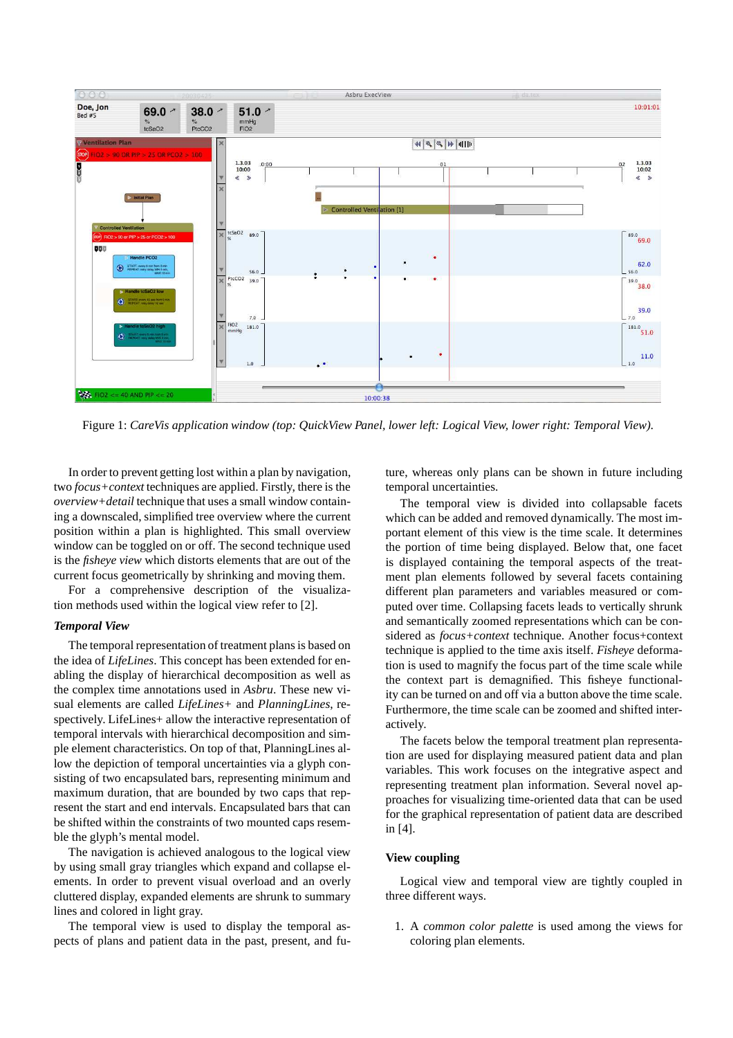

Figure 1: *CareVis application window (top: QuickView Panel, lower left: Logical View, lower right: Temporal View).*

In order to prevent getting lost within a plan by navigation, two *focus+context* techniques are applied. Firstly, there is the *overview+detail* technique that uses a small window containing a downscaled, simplified tree overview where the current position within a plan is highlighted. This small overview window can be toggled on or off. The second technique used is the *fisheye view* which distorts elements that are out of the current focus geometrically by shrinking and moving them.

For a comprehensive description of the visualization methods used within the logical view refer to [2].

#### *Temporal View*

The temporal representation of treatment plans is based on the idea of *LifeLines*. This concept has been extended for enabling the display of hierarchical decomposition as well as the complex time annotations used in *Asbru*. These new visual elements are called *LifeLines+* and *PlanningLines*, respectively. LifeLines+ allow the interactive representation of temporal intervals with hierarchical decomposition and simple element characteristics. On top of that, PlanningLines allow the depiction of temporal uncertainties via a glyph consisting of two encapsulated bars, representing minimum and maximum duration, that are bounded by two caps that represent the start and end intervals. Encapsulated bars that can be shifted within the constraints of two mounted caps resemble the glyph's mental model.

The navigation is achieved analogous to the logical view by using small gray triangles which expand and collapse elements. In order to prevent visual overload and an overly cluttered display, expanded elements are shrunk to summary lines and colored in light gray.

The temporal view is used to display the temporal aspects of plans and patient data in the past, present, and future, whereas only plans can be shown in future including temporal uncertainties.

The temporal view is divided into collapsable facets which can be added and removed dynamically. The most important element of this view is the time scale. It determines the portion of time being displayed. Below that, one facet is displayed containing the temporal aspects of the treatment plan elements followed by several facets containing different plan parameters and variables measured or computed over time. Collapsing facets leads to vertically shrunk and semantically zoomed representations which can be considered as *focus+context* technique. Another focus+context technique is applied to the time axis itself. *Fisheye* deformation is used to magnify the focus part of the time scale while the context part is demagnified. This fisheye functionality can be turned on and off via a button above the time scale. Furthermore, the time scale can be zoomed and shifted interactively.

The facets below the temporal treatment plan representation are used for displaying measured patient data and plan variables. This work focuses on the integrative aspect and representing treatment plan information. Several novel approaches for visualizing time-oriented data that can be used for the graphical representation of patient data are described in [4].

#### **View coupling**

Logical view and temporal view are tightly coupled in three different ways.

1. A *common color palette* is used among the views for coloring plan elements.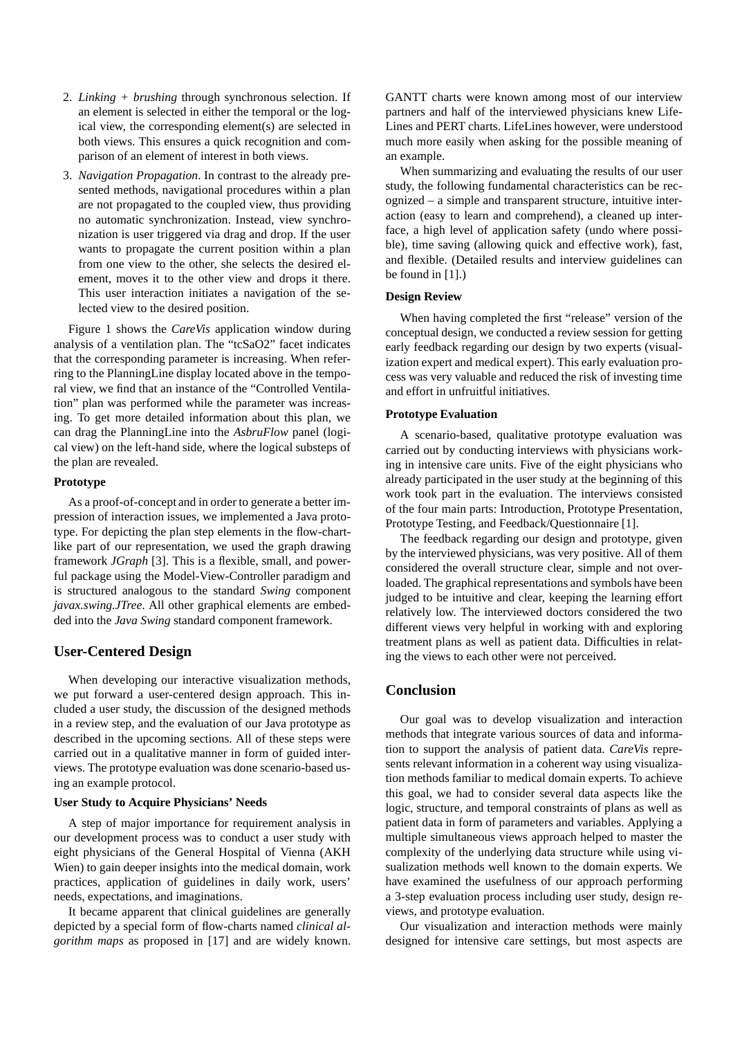- 2. *Linking + brushing* through synchronous selection. If an element is selected in either the temporal or the logical view, the corresponding element(s) are selected in both views. This ensures a quick recognition and comparison of an element of interest in both views.
- 3. *Navigation Propagation*. In contrast to the already presented methods, navigational procedures within a plan are not propagated to the coupled view, thus providing no automatic synchronization. Instead, view synchronization is user triggered via drag and drop. If the user wants to propagate the current position within a plan from one view to the other, she selects the desired element, moves it to the other view and drops it there. This user interaction initiates a navigation of the selected view to the desired position.

Figure 1 shows the *CareVis* application window during analysis of a ventilation plan. The "tcSaO2" facet indicates that the corresponding parameter is increasing. When referring to the PlanningLine display located above in the temporal view, we find that an instance of the "Controlled Ventilation" plan was performed while the parameter was increasing. To get more detailed information about this plan, we can drag the PlanningLine into the *AsbruFlow* panel (logical view) on the left-hand side, where the logical substeps of the plan are revealed.

## **Prototype**

As a proof-of-concept and in order to generate a better impression of interaction issues, we implemented a Java prototype. For depicting the plan step elements in the flow-chartlike part of our representation, we used the graph drawing framework *JGraph* [3]. This is a flexible, small, and powerful package using the Model-View-Controller paradigm and is structured analogous to the standard *Swing* component *javax.swing.JTree*. All other graphical elements are embedded into the *Java Swing* standard component framework.

# **User-Centered Design**

When developing our interactive visualization methods, we put forward a user-centered design approach. This included a user study, the discussion of the designed methods in a review step, and the evaluation of our Java prototype as described in the upcoming sections. All of these steps were carried out in a qualitative manner in form of guided interviews. The prototype evaluation was done scenario-based using an example protocol.

# **User Study to Acquire Physicians' Needs**

A step of major importance for requirement analysis in our development process was to conduct a user study with eight physicians of the General Hospital of Vienna (AKH Wien) to gain deeper insights into the medical domain, work practices, application of guidelines in daily work, users' needs, expectations, and imaginations.

It became apparent that clinical guidelines are generally depicted by a special form of flow-charts named *clinical algorithm maps* as proposed in [17] and are widely known.

GANTT charts were known among most of our interview partners and half of the interviewed physicians knew Life-Lines and PERT charts. LifeLines however, were understood much more easily when asking for the possible meaning of an example.

When summarizing and evaluating the results of our user study, the following fundamental characteristics can be recognized – a simple and transparent structure, intuitive interaction (easy to learn and comprehend), a cleaned up interface, a high level of application safety (undo where possible), time saving (allowing quick and effective work), fast, and flexible. (Detailed results and interview guidelines can be found in [1].)

#### **Design Review**

When having completed the first "release" version of the conceptual design, we conducted a review session for getting early feedback regarding our design by two experts (visualization expert and medical expert). This early evaluation process was very valuable and reduced the risk of investing time and effort in unfruitful initiatives.

# **Prototype Evaluation**

A scenario-based, qualitative prototype evaluation was carried out by conducting interviews with physicians working in intensive care units. Five of the eight physicians who already participated in the user study at the beginning of this work took part in the evaluation. The interviews consisted of the four main parts: Introduction, Prototype Presentation, Prototype Testing, and Feedback/Questionnaire [1].

The feedback regarding our design and prototype, given by the interviewed physicians, was very positive. All of them considered the overall structure clear, simple and not overloaded. The graphical representations and symbols have been judged to be intuitive and clear, keeping the learning effort relatively low. The interviewed doctors considered the two different views very helpful in working with and exploring treatment plans as well as patient data. Difficulties in relating the views to each other were not perceived.

## **Conclusion**

Our goal was to develop visualization and interaction methods that integrate various sources of data and information to support the analysis of patient data. *CareVis* represents relevant information in a coherent way using visualization methods familiar to medical domain experts. To achieve this goal, we had to consider several data aspects like the logic, structure, and temporal constraints of plans as well as patient data in form of parameters and variables. Applying a multiple simultaneous views approach helped to master the complexity of the underlying data structure while using visualization methods well known to the domain experts. We have examined the usefulness of our approach performing a 3-step evaluation process including user study, design reviews, and prototype evaluation.

Our visualization and interaction methods were mainly designed for intensive care settings, but most aspects are